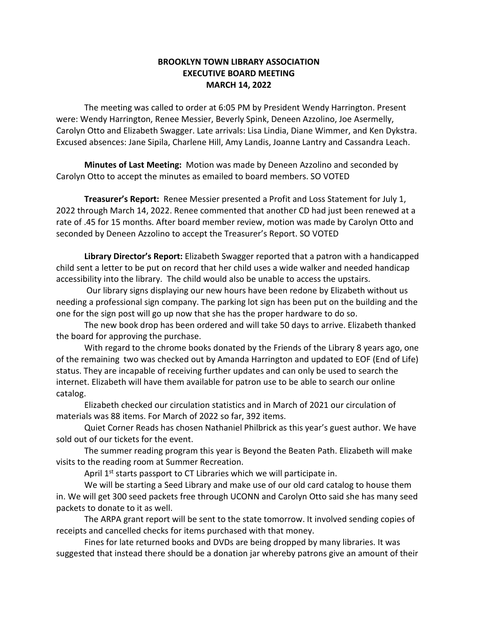## **BROOKLYN TOWN LIBRARY ASSOCIATION EXECUTIVE BOARD MEETING MARCH 14, 2022**

The meeting was called to order at 6:05 PM by President Wendy Harrington. Present were: Wendy Harrington, Renee Messier, Beverly Spink, Deneen Azzolino, Joe Asermelly, Carolyn Otto and Elizabeth Swagger. Late arrivals: Lisa Lindia, Diane Wimmer, and Ken Dykstra. Excused absences: Jane Sipila, Charlene Hill, Amy Landis, Joanne Lantry and Cassandra Leach.

**Minutes of Last Meeting:** Motion was made by Deneen Azzolino and seconded by Carolyn Otto to accept the minutes as emailed to board members. SO VOTED

**Treasurer's Report:** Renee Messier presented a Profit and Loss Statement for July 1, 2022 through March 14, 2022. Renee commented that another CD had just been renewed at a rate of .45 for 15 months. After board member review, motion was made by Carolyn Otto and seconded by Deneen Azzolino to accept the Treasurer's Report. SO VOTED

**Library Director's Report:** Elizabeth Swagger reported that a patron with a handicapped child sent a letter to be put on record that her child uses a wide walker and needed handicap accessibility into the library. The child would also be unable to access the upstairs.

Our library signs displaying our new hours have been redone by Elizabeth without us needing a professional sign company. The parking lot sign has been put on the building and the one for the sign post will go up now that she has the proper hardware to do so.

The new book drop has been ordered and will take 50 days to arrive. Elizabeth thanked the board for approving the purchase.

With regard to the chrome books donated by the Friends of the Library 8 years ago, one of the remaining two was checked out by Amanda Harrington and updated to EOF (End of Life) status. They are incapable of receiving further updates and can only be used to search the internet. Elizabeth will have them available for patron use to be able to search our online catalog.

Elizabeth checked our circulation statistics and in March of 2021 our circulation of materials was 88 items. For March of 2022 so far, 392 items.

Quiet Corner Reads has chosen Nathaniel Philbrick as this year's guest author. We have sold out of our tickets for the event.

The summer reading program this year is Beyond the Beaten Path. Elizabeth will make visits to the reading room at Summer Recreation.

April 1<sup>st</sup> starts passport to CT Libraries which we will participate in.

We will be starting a Seed Library and make use of our old card catalog to house them in. We will get 300 seed packets free through UCONN and Carolyn Otto said she has many seed packets to donate to it as well.

The ARPA grant report will be sent to the state tomorrow. It involved sending copies of receipts and cancelled checks for items purchased with that money.

Fines for late returned books and DVDs are being dropped by many libraries. It was suggested that instead there should be a donation jar whereby patrons give an amount of their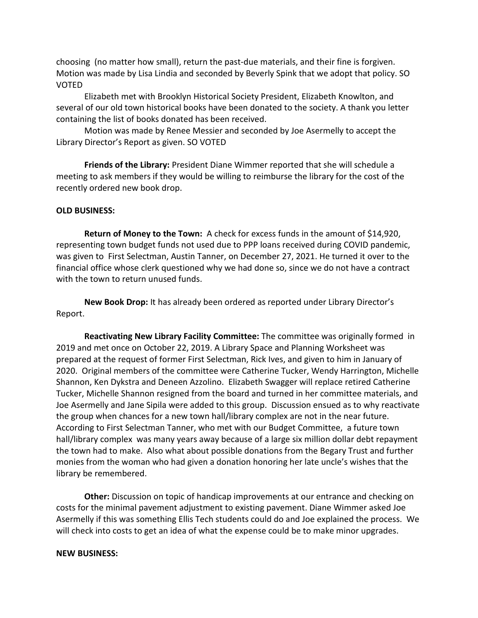choosing (no matter how small), return the past-due materials, and their fine is forgiven. Motion was made by Lisa Lindia and seconded by Beverly Spink that we adopt that policy. SO VOTED

Elizabeth met with Brooklyn Historical Society President, Elizabeth Knowlton, and several of our old town historical books have been donated to the society. A thank you letter containing the list of books donated has been received.

Motion was made by Renee Messier and seconded by Joe Asermelly to accept the Library Director's Report as given. SO VOTED

**Friends of the Library:** President Diane Wimmer reported that she will schedule a meeting to ask members if they would be willing to reimburse the library for the cost of the recently ordered new book drop.

## **OLD BUSINESS:**

**Return of Money to the Town:** A check for excess funds in the amount of \$14,920, representing town budget funds not used due to PPP loans received during COVID pandemic, was given to First Selectman, Austin Tanner, on December 27, 2021. He turned it over to the financial office whose clerk questioned why we had done so, since we do not have a contract with the town to return unused funds.

**New Book Drop:** It has already been ordered as reported under Library Director's Report.

**Reactivating New Library Facility Committee:** The committee was originally formed in 2019 and met once on October 22, 2019. A Library Space and Planning Worksheet was prepared at the request of former First Selectman, Rick Ives, and given to him in January of 2020. Original members of the committee were Catherine Tucker, Wendy Harrington, Michelle Shannon, Ken Dykstra and Deneen Azzolino. Elizabeth Swagger will replace retired Catherine Tucker, Michelle Shannon resigned from the board and turned in her committee materials, and Joe Asermelly and Jane Sipila were added to this group. Discussion ensued as to why reactivate the group when chances for a new town hall/library complex are not in the near future. According to First Selectman Tanner, who met with our Budget Committee, a future town hall/library complex was many years away because of a large six million dollar debt repayment the town had to make. Also what about possible donations from the Begary Trust and further monies from the woman who had given a donation honoring her late uncle's wishes that the library be remembered.

**Other:** Discussion on topic of handicap improvements at our entrance and checking on costs for the minimal pavement adjustment to existing pavement. Diane Wimmer asked Joe Asermelly if this was something Ellis Tech students could do and Joe explained the process. We will check into costs to get an idea of what the expense could be to make minor upgrades.

## **NEW BUSINESS:**